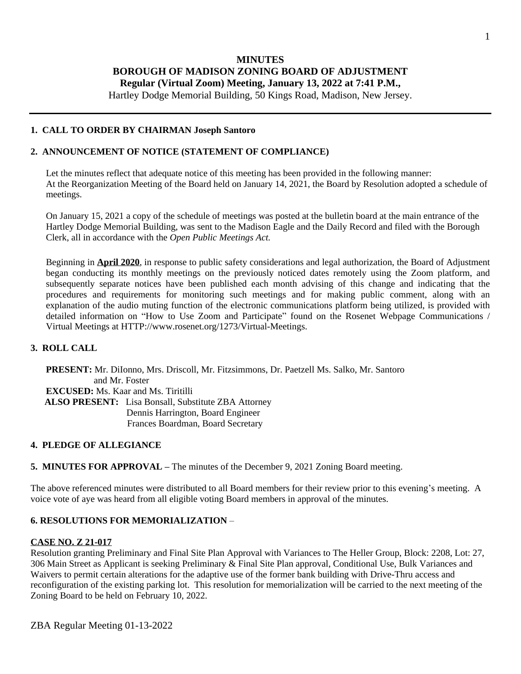## **MINUTES BOROUGH OF MADISON ZONING BOARD OF ADJUSTMENT Regular (Virtual Zoom) Meeting, January 13, 2022 at 7:41 P.M.,**

Hartley Dodge Memorial Building, 50 Kings Road, Madison, New Jersey.

### **1. CALL TO ORDER BY CHAIRMAN Joseph Santoro**

### **2. ANNOUNCEMENT OF NOTICE (STATEMENT OF COMPLIANCE)**

Let the minutes reflect that adequate notice of this meeting has been provided in the following manner: At the Reorganization Meeting of the Board held on January 14, 2021, the Board by Resolution adopted a schedule of meetings.

On January 15, 2021 a copy of the schedule of meetings was posted at the bulletin board at the main entrance of the Hartley Dodge Memorial Building, was sent to the Madison Eagle and the Daily Record and filed with the Borough Clerk, all in accordance with the *Open Public Meetings Act.*

Beginning in **April 2020**, in response to public safety considerations and legal authorization, the Board of Adjustment began conducting its monthly meetings on the previously noticed dates remotely using the Zoom platform, and subsequently separate notices have been published each month advising of this change and indicating that the procedures and requirements for monitoring such meetings and for making public comment, along with an explanation of the audio muting function of the electronic communications platform being utilized, is provided with detailed information on "How to Use Zoom and Participate" found on the Rosenet Webpage Communications / Virtual Meetings at HTTP://www.rosenet.org/1273/Virtual-Meetings.

### **3. ROLL CALL**

**PRESENT:** Mr. DiIonno, Mrs. Driscoll, Mr. Fitzsimmons, Dr. Paetzell Ms. Salko, Mr. Santoro and Mr. Foster **EXCUSED:** Ms. Kaar and Ms. Tiritilli  **ALSO PRESENT:** Lisa Bonsall, Substitute ZBA Attorney Dennis Harrington, Board Engineer Frances Boardman, Board Secretary

#### **4. PLEDGE OF ALLEGIANCE**

**5. MINUTES FOR APPROVAL –** The minutes of the December 9, 2021 Zoning Board meeting.

The above referenced minutes were distributed to all Board members for their review prior to this evening's meeting. A voice vote of aye was heard from all eligible voting Board members in approval of the minutes.

### **6. RESOLUTIONS FOR MEMORIALIZATION** –

#### **CASE NO. Z 21-017**

Resolution granting Preliminary and Final Site Plan Approval with Variances to The Heller Group, Block: 2208, Lot: 27, 306 Main Street as Applicant is seeking Preliminary & Final Site Plan approval, Conditional Use, Bulk Variances and Waivers to permit certain alterations for the adaptive use of the former bank building with Drive-Thru access and reconfiguration of the existing parking lot. This resolution for memorialization will be carried to the next meeting of the Zoning Board to be held on February 10, 2022.

ZBA Regular Meeting 01-13-2022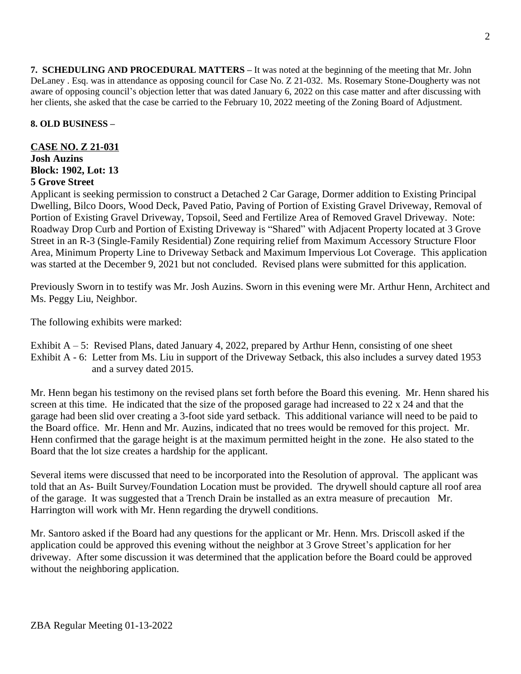**7. SCHEDULING AND PROCEDURAL MATTERS –** It was noted at the beginning of the meeting that Mr. John DeLaney . Esq. was in attendance as opposing council for Case No. Z 21-032. Ms. Rosemary Stone-Dougherty was not aware of opposing council's objection letter that was dated January 6, 2022 on this case matter and after discussing with her clients, she asked that the case be carried to the February 10, 2022 meeting of the Zoning Board of Adjustment.

# **8. OLD BUSINESS –**

# **CASE NO. Z 21-031 Josh Auzins Block: 1902, Lot: 13 5 Grove Street**

Applicant is seeking permission to construct a Detached 2 Car Garage, Dormer addition to Existing Principal Dwelling, Bilco Doors, Wood Deck, Paved Patio, Paving of Portion of Existing Gravel Driveway, Removal of Portion of Existing Gravel Driveway, Topsoil, Seed and Fertilize Area of Removed Gravel Driveway. Note: Roadway Drop Curb and Portion of Existing Driveway is "Shared" with Adjacent Property located at 3 Grove Street in an R-3 (Single-Family Residential) Zone requiring relief from Maximum Accessory Structure Floor Area, Minimum Property Line to Driveway Setback and Maximum Impervious Lot Coverage. This application was started at the December 9, 2021 but not concluded. Revised plans were submitted for this application.

Previously Sworn in to testify was Mr. Josh Auzins. Sworn in this evening were Mr. Arthur Henn, Architect and Ms. Peggy Liu, Neighbor.

The following exhibits were marked:

Exhibit  $A - 5$ : Revised Plans, dated January 4, 2022, prepared by Arthur Henn, consisting of one sheet Exhibit A - 6: Letter from Ms. Liu in support of the Driveway Setback, this also includes a survey dated 1953 and a survey dated 2015.

Mr. Henn began his testimony on the revised plans set forth before the Board this evening. Mr. Henn shared his screen at this time. He indicated that the size of the proposed garage had increased to 22 x 24 and that the garage had been slid over creating a 3-foot side yard setback. This additional variance will need to be paid to the Board office. Mr. Henn and Mr. Auzins, indicated that no trees would be removed for this project. Mr. Henn confirmed that the garage height is at the maximum permitted height in the zone. He also stated to the Board that the lot size creates a hardship for the applicant.

Several items were discussed that need to be incorporated into the Resolution of approval. The applicant was told that an As- Built Survey/Foundation Location must be provided. The drywell should capture all roof area of the garage. It was suggested that a Trench Drain be installed as an extra measure of precaution Mr. Harrington will work with Mr. Henn regarding the drywell conditions.

Mr. Santoro asked if the Board had any questions for the applicant or Mr. Henn. Mrs. Driscoll asked if the application could be approved this evening without the neighbor at 3 Grove Street's application for her driveway. After some discussion it was determined that the application before the Board could be approved without the neighboring application.